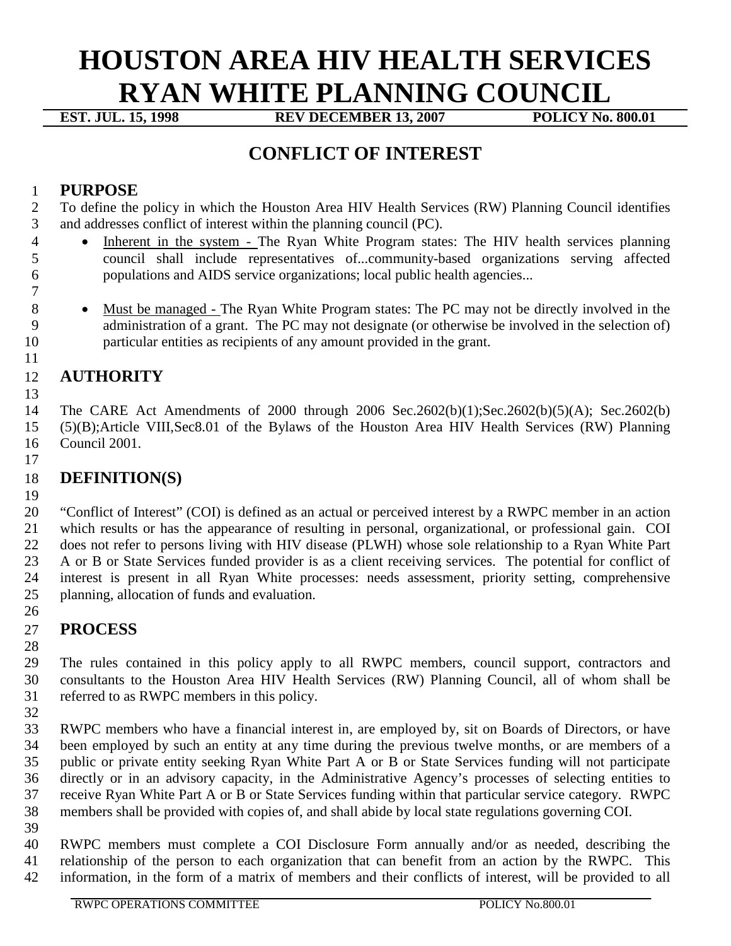# **HOUSTON AREA HIV HEALTH SERVICES RYAN WHITE PLANNING COUNCIL**<br>EST. JUL. 15, 1998 **REV DECEMBER 13, 2007** POLICY No. 800.01

**REV DECEMBER 13, 2007** 

## **CONFLICT OF INTEREST**

#### **PURPOSE**

 To define the policy in which the Houston Area HIV Health Services (RW) Planning Council identifies and addresses conflict of interest within the planning council (PC).

- 4 Inherent in the system The Ryan White Program states: The HIV health services planning council shall include representatives of...community-based organizations serving affected populations and AIDS service organizations; local public health agencies...
- 

8 • Must be managed - The Ryan White Program states: The PC may not be directly involved in the administration of a grant. The PC may not designate (or otherwise be involved in the selection of) particular entities as recipients of any amount provided in the grant.

#### **AUTHORITY**

 The CARE Act Amendments of 2000 through 2006 Sec.2602(b)(1);Sec.2602(b)(5)(A); Sec.2602(b) (5)(B);Article VIII,Sec8.01 of the Bylaws of the Houston Area HIV Health Services (RW) Planning Council 2001.

### **DEFINITION(S)**

 "Conflict of Interest" (COI) is defined as an actual or perceived interest by a RWPC member in an action which results or has the appearance of resulting in personal, organizational, or professional gain. COI does not refer to persons living with HIV disease (PLWH) whose sole relationship to a Ryan White Part A or B or State Services funded provider is as a client receiving services. The potential for conflict of interest is present in all Ryan White processes: needs assessment, priority setting, comprehensive planning, allocation of funds and evaluation. 

#### **PROCESS**

 The rules contained in this policy apply to all RWPC members, council support, contractors and consultants to the Houston Area HIV Health Services (RW) Planning Council, all of whom shall be referred to as RWPC members in this policy.

 RWPC members who have a financial interest in, are employed by, sit on Boards of Directors, or have been employed by such an entity at any time during the previous twelve months, or are members of a public or private entity seeking Ryan White Part A or B or State Services funding will not participate directly or in an advisory capacity, in the Administrative Agency's processes of selecting entities to receive Ryan White Part A or B or State Services funding within that particular service category. RWPC members shall be provided with copies of, and shall abide by local state regulations governing COI.

 RWPC members must complete a COI Disclosure Form annually and/or as needed, describing the relationship of the person to each organization that can benefit from an action by the RWPC. This information, in the form of a matrix of members and their conflicts of interest, will be provided to all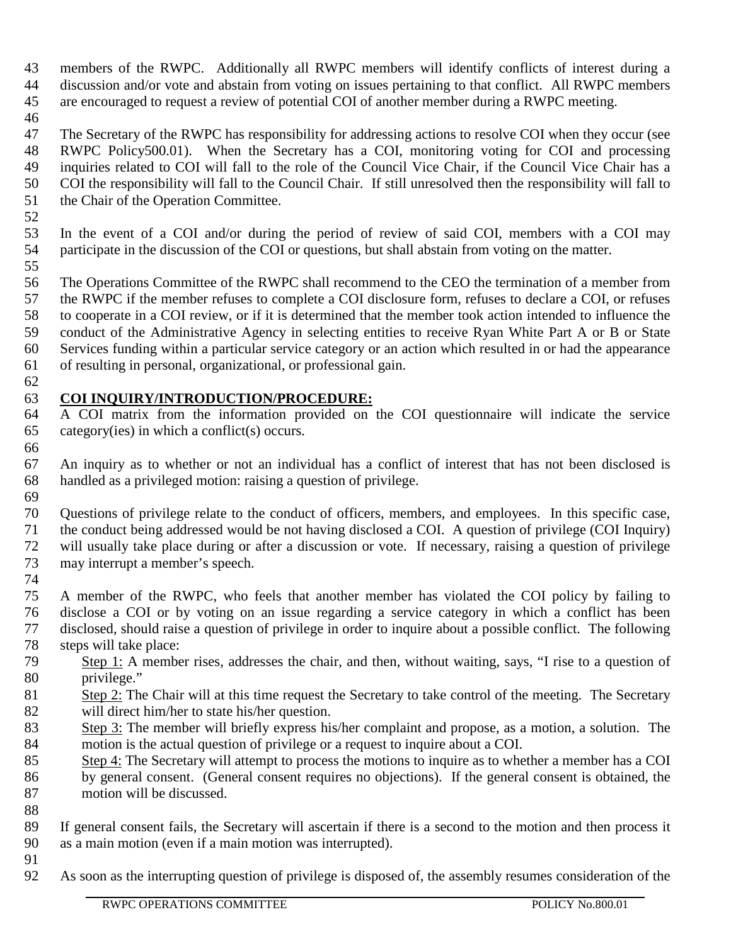- members of the RWPC. Additionally all RWPC members will identify conflicts of interest during a discussion and/or vote and abstain from voting on issues pertaining to that conflict. All RWPC members are encouraged to request a review of potential COI of another member during a RWPC meeting.
- 

 The Secretary of the RWPC has responsibility for addressing actions to resolve COI when they occur (see RWPC Policy500.01). When the Secretary has a COI, monitoring voting for COI and processing inquiries related to COI will fall to the role of the Council Vice Chair, if the Council Vice Chair has a COI the responsibility will fall to the Council Chair. If still unresolved then the responsibility will fall to the Chair of the Operation Committee.

 In the event of a COI and/or during the period of review of said COI, members with a COI may participate in the discussion of the COI or questions, but shall abstain from voting on the matter. 

- The Operations Committee of the RWPC shall recommend to the CEO the termination of a member from the RWPC if the member refuses to complete a COI disclosure form, refuses to declare a COI, or refuses to cooperate in a COI review, or if it is determined that the member took action intended to influence the conduct of the Administrative Agency in selecting entities to receive Ryan White Part A or B or State Services funding within a particular service category or an action which resulted in or had the appearance of resulting in personal, organizational, or professional gain.
- 

#### **COI INQUIRY/INTRODUCTION/PROCEDURE:**

 A COI matrix from the information provided on the COI questionnaire will indicate the service category(ies) in which a conflict(s) occurs. 

 An inquiry as to whether or not an individual has a conflict of interest that has not been disclosed is handled as a privileged motion: raising a question of privilege.

 Questions of privilege relate to the conduct of officers, members, and employees. In this specific case, the conduct being addressed would be not having disclosed a COI. A question of privilege (COI Inquiry) will usually take place during or after a discussion or vote. If necessary, raising a question of privilege

 may interrupt a member's speech. 

 A member of the RWPC, who feels that another member has violated the COI policy by failing to disclose a COI or by voting on an issue regarding a service category in which a conflict has been disclosed, should raise a question of privilege in order to inquire about a possible conflict. The following steps will take place:

- Step 1: A member rises, addresses the chair, and then, without waiting, says, "I rise to a question of privilege."
- 81 Step 2: The Chair will at this time request the Secretary to take control of the meeting. The Secretary will direct him/her to state his/her question.
- Step 3: The member will briefly express his/her complaint and propose, as a motion, a solution. The motion is the actual question of privilege or a request to inquire about a COI.
- 85 Step 4: The Secretary will attempt to process the motions to inquire as to whether a member has a COI
- by general consent. (General consent requires no objections). If the general consent is obtained, the motion will be discussed.
- 

 If general consent fails, the Secretary will ascertain if there is a second to the motion and then process it as a main motion (even if a main motion was interrupted).

As soon as the interrupting question of privilege is disposed of, the assembly resumes consideration of the